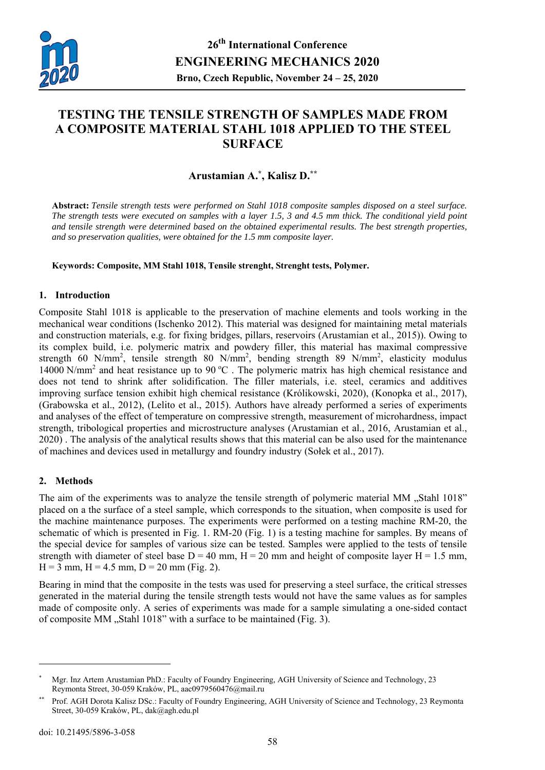

# **TESTING THE TENSILE STRENGTH OF SAMPLES MADE FROM A COMPOSITE MATERIAL STAHL 1018 APPLIED TO THE STEEL SURFACE**

## **Arustamian A.\* , Kalisz D.\*\***

**Abstract:** *Tensile strength tests were performed on Stahl 1018 composite samples disposed on a steel surface. The strength tests were executed on samples with a layer 1.5, 3 and 4.5 mm thick. The conditional yield point and tensile strength were determined based on the obtained experimental results. The best strength properties, and so preservation qualities, were obtained for the 1.5 mm composite layer.* 

**Keywords: Composite, MM Stahl 1018, Tensile strenght, Strenght tests, Polymer.** 

### **1. Introduction**

Composite Stahl 1018 is applicable to the preservation of machine elements and tools working in the mechanical wear conditions (Ischenko 2012). This material was designed for maintaining metal materials and construction materials, e.g. for fixing bridges, pillars, reservoirs (Arustamian et al., 2015)). Owing to its complex build, i.e. polymeric matrix and powdery filler, this material has maximal compressive strength 60 N/mm<sup>2</sup>, tensile strength 80 N/mm<sup>2</sup>, bending strength 89 N/mm<sup>2</sup>, elasticity modulus 14000 N/mm<sup>2</sup> and heat resistance up to 90 °C. The polymeric matrix has high chemical resistance and does not tend to shrink after solidification. The filler materials, i.e. steel, ceramics and additives improving surface tension exhibit high chemical resistance (Królikowski, 2020), (Konopka et al., 2017), (Grabowska et al., 2012), (Lelito et al., 2015). Authors have already performed a series of experiments and analyses of the effect of temperature on compressive strength, measurement of microhardness, impact strength, tribological properties and microstructure analyses (Arustamian et al., 2016, Arustamian et al., 2020) . The analysis of the analytical results shows that this material can be also used for the maintenance of machines and devices used in metallurgy and foundry industry (Sołek et al., 2017).

## **2. Methods**

The aim of the experiments was to analyze the tensile strength of polymeric material MM . Stahl 1018" placed on a the surface of a steel sample, which corresponds to the situation, when composite is used for the machine maintenance purposes. The experiments were performed on a testing machine RM-20, the schematic of which is presented in Fig. 1. RM-20 (Fig. 1) is a testing machine for samples. By means of the special device for samples of various size can be tested. Samples were applied to the tests of tensile strength with diameter of steel base  $D = 40$  mm,  $H = 20$  mm and height of composite layer  $H = 1.5$  mm,  $H = 3$  mm,  $H = 4.5$  mm,  $D = 20$  mm (Fig. 2).

Bearing in mind that the composite in the tests was used for preserving a steel surface, the critical stresses generated in the material during the tensile strength tests would not have the same values as for samples made of composite only. A series of experiments was made for a sample simulating a one-sided contact of composite MM "Stahl 1018" with a surface to be maintained (Fig. 3).

 $\overline{a}$ 

Mgr. Inz Artem Arustamian PhD.: Faculty of Foundry Engineering, AGH University of Science and Technology, 23 Reymonta Street, 30-059 Kraków, PL, aac0979560476@mail.ru

<sup>\*\*</sup> Prof. AGH Dorota Kalisz DSc.: Faculty of Foundry Engineering, AGH University of Science and Technology, 23 Reymonta Street, 30-059 Kraków, PL, dak@agh.edu.pl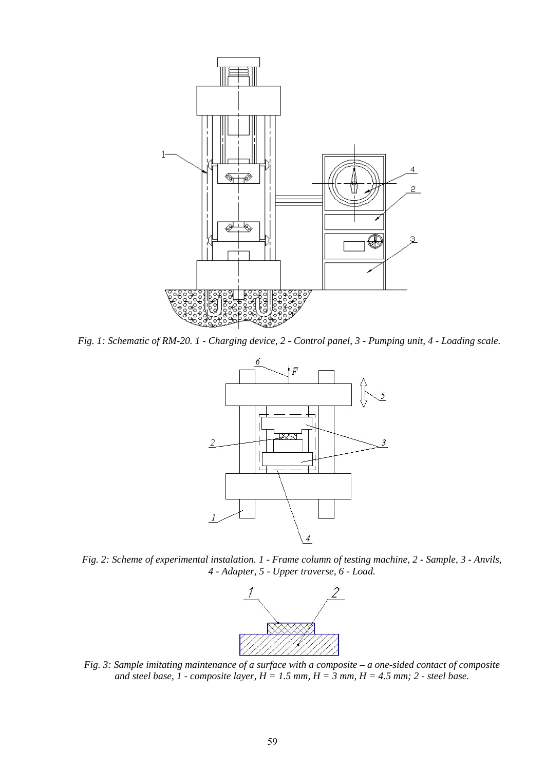

*Fig. 1: Schematic of RM-20. 1 - Charging device, 2 - Control panel, 3 - Pumping unit, 4 - Loading scale.* 



*Fig. 2: Scheme of experimental instalation. 1 - Frame column of testing machine, 2 - Sample, 3 - Anvils, 4 - Adapter, 5 - Upper traverse, 6 - Load.* 



*Fig. 3: Sample imitating maintenance of a surface with a composite – a one-sided contact of composite*  and steel base,  $1$  - composite layer,  $H = 1.5$  mm,  $H = 3$  mm,  $H = 4.5$  mm;  $2$  - steel base.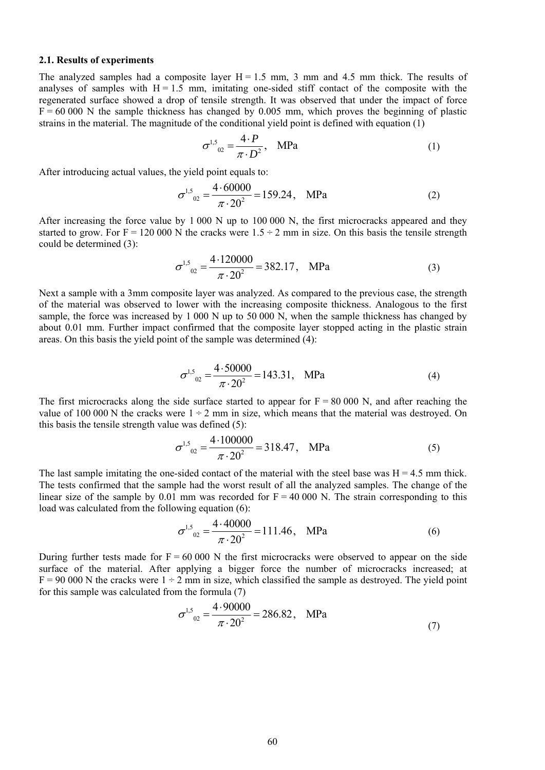#### **2.1. Results of experiments**

The analyzed samples had a composite layer  $H = 1.5$  mm, 3 mm and 4.5 mm thick. The results of analyses of samples with  $H = 1.5$  mm, imitating one-sided stiff contact of the composite with the regenerated surface showed a drop of tensile strength. It was observed that under the impact of force  $F = 60,000$  N the sample thickness has changed by 0.005 mm, which proves the beginning of plastic strains in the material. The magnitude of the conditional yield point is defined with equation (1)

$$
\sigma^{1,5}_{02} = \frac{4 \cdot P}{\pi \cdot D^2}, \quad \text{MPa} \tag{1}
$$

After introducing actual values, the yield point equals to:

$$
\sigma^{1,5}_{02} = \frac{4.60000}{\pi \cdot 20^2} = 159.24, \quad \text{MPa} \tag{2}
$$

After increasing the force value by 1 000 N up to 100 000 N, the first microcracks appeared and they started to grow. For F = 120 000 N the cracks were  $1.5 \div 2$  mm in size. On this basis the tensile strength could be determined (3):

$$
\sigma^{1,5}_{02} = \frac{4.120000}{\pi \cdot 20^2} = 382.17, \quad \text{MPa} \tag{3}
$$

Next a sample with a 3mm composite layer was analyzed. As compared to the previous case, the strength of the material was observed to lower with the increasing composite thickness. Analogous to the first sample, the force was increased by 1 000 N up to 50 000 N, when the sample thickness has changed by about 0.01 mm. Further impact confirmed that the composite layer stopped acting in the plastic strain areas. On this basis the yield point of the sample was determined (4):

$$
\sigma^{1,5}_{02} = \frac{4 \cdot 50000}{\pi \cdot 20^2} = 143.31, \quad \text{MPa} \tag{4}
$$

The first microcracks along the side surface started to appear for  $F = 80,000$  N, and after reaching the value of 100 000 N the cracks were  $1 \div 2$  mm in size, which means that the material was destroyed. On this basis the tensile strength value was defined (5):

$$
\sigma^{1,5}_{02} = \frac{4.100000}{\pi \cdot 20^2} = 318.47, \quad \text{MPa} \tag{5}
$$

The last sample imitating the one-sided contact of the material with the steel base was  $H = 4.5$  mm thick. The tests confirmed that the sample had the worst result of all the analyzed samples. The change of the linear size of the sample by  $0.01$  mm was recorded for  $F = 40,000$  N. The strain corresponding to this load was calculated from the following equation (6):

$$
\sigma^{1,5}_{02} = \frac{4.40000}{\pi \cdot 20^2} = 111.46, \quad \text{MPa} \tag{6}
$$

During further tests made for  $F = 60,000$  N the first microcracks were observed to appear on the side surface of the material. After applying a bigger force the number of microcracks increased; at  $F = 90,000$  N the cracks were  $1 \div 2$  mm in size, which classified the sample as destroyed. The yield point for this sample was calculated from the formula (7)

$$
\sigma^{1,5}_{02} = \frac{4.90000}{\pi \cdot 20^2} = 286.82, \quad \text{MPa} \tag{7}
$$